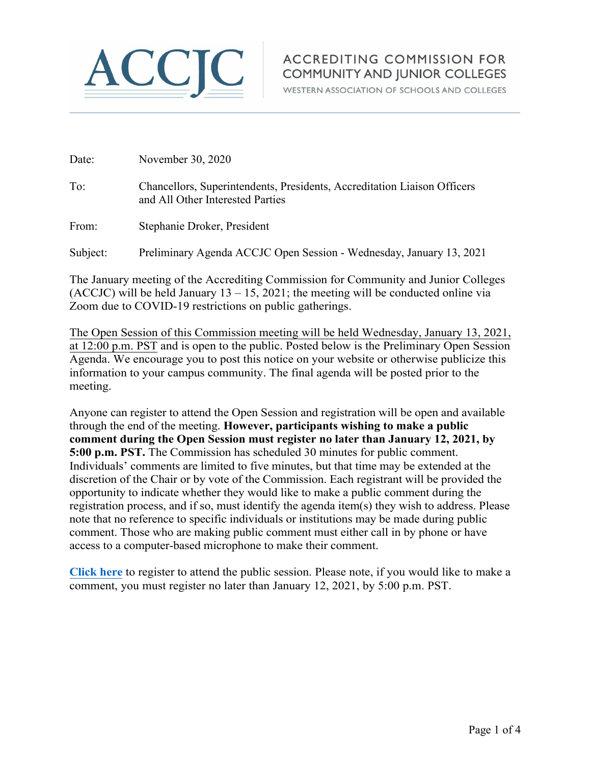

**ACCREDITING COMMISSION FOR COMMUNITY AND JUNIOR COLLEGES** 

WESTERN ASSOCIATION OF SCHOOLS AND COLLEGES

| Date:    | November 30, 2020                                                                                            |
|----------|--------------------------------------------------------------------------------------------------------------|
| To:      | Chancellors, Superintendents, Presidents, Accreditation Liaison Officers<br>and All Other Interested Parties |
| From:    | Stephanie Droker, President                                                                                  |
| Subject: | Preliminary Agenda ACCJC Open Session - Wednesday, January 13, 2021                                          |

The January meeting of the Accrediting Commission for Community and Junior Colleges (ACCJC) will be held January  $13 - 15$ ,  $2021$ ; the meeting will be conducted online via Zoom due to COVID-19 restrictions on public gatherings.

The Open Session of this Commission meeting will be held Wednesday, January 13, 2021, at 12:00 p.m. PST and is open to the public. Posted below is the Preliminary Open Session Agenda. We encourage you to post this notice on your website or otherwise publicize this information to your campus community. The final agenda will be posted prior to the meeting.

Anyone can register to attend the Open Session and registration will be open and available through the end of the meeting. **However, participants wishing to make a public comment during the Open Session must register no later than January 12, 2021, by 5:00 p.m. PST.** The Commission has scheduled 30 minutes for public comment. Individuals' comments are limited to five minutes, but that time may be extended at the discretion of the Chair or by vote of the Commission. Each registrant will be provided the opportunity to indicate whether they would like to make a public comment during the registration process, and if so, must identify the agenda item(s) they wish to address. Please note that no reference to specific individuals or institutions may be made during public comment. Those who are making public comment must either call in by phone or have access to a computer-based microphone to make their comment.

**[Click here](https://us02web.zoom.us/webinar/register/WN_wE3Z7qcjS-m_nshcIID7Ow)** to register to attend the public session. Please note, if you would like to make a comment, you must register no later than January 12, 2021, by 5:00 p.m. PST.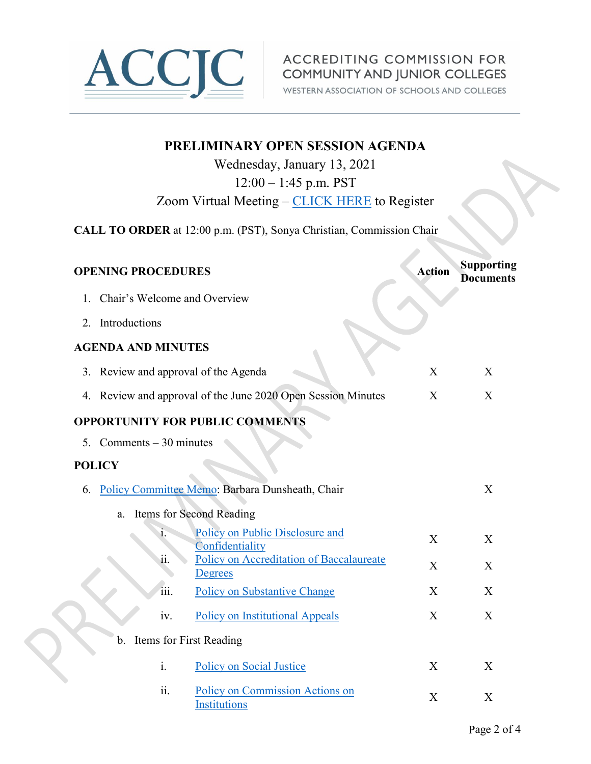

**ACCREDITING COMMISSION FOR COMMUNITY AND JUNIOR COLLEGES** 

WESTERN ASSOCIATION OF SCHOOLS AND COLLEGES

## **PRELIMINARY OPEN SESSION AGENDA** Wednesday, January 13, 2021 12:00 – 1:45 p.m. PST Zoom Virtual Meeting – [CLICK HERE](https://us02web.zoom.us/webinar/register/WN_wE3Z7qcjS-m_nshcIID7Ow) to Register **CALL TO ORDER** at 12:00 p.m. (PST), Sonya Christian, Commission Chair **OPENING PROCEDURES Action Supporting Documents** 1. Chair's Welcome and Overview 2. Introductions **AGENDA AND MINUTES** 3. Review and approval of the Agenda X X X 4. Review and approval of the June 2020 Open Session Minutes X X **OPPORTUNITY FOR PUBLIC COMMENTS** 5. Comments – 30 minutes **POLICY** 6. [Policy Committee Memo:](https://accjc.org/wp-content/uploads/6.-Policy-Committee-Memo-January-2021.pdf) Barbara Dunsheath, Chair X a. Items for Second Reading i. [Policy on Public Disclosure and](https://accjc.org/wp-content/uploads/6.a.i.-Policy-on-Public-Disclosure-and-Confidentiality-Second-Read.pdf) **EXECUTE TO EXECUTE A TEXT CONFIDENTIALLY**<br>[Confidentiality](https://accjc.org/wp-content/uploads/6.a.i.-Policy-on-Public-Disclosure-and-Confidentiality-Second-Read.pdf) X ii. [Policy on Accreditation of Baccalaureate](https://accjc.org/wp-content/uploads/6.a.ii_.-Policy-on-Accreditation-of-Baccalaureate-Degrees-Second-Read.pdf)<br> [Degrees](https://accjc.org/wp-content/uploads/6.a.ii_.-Policy-on-Accreditation-of-Baccalaureate-Degrees-Second-Read.pdf) X X iii. [Policy on Substantive Change](https://accjc.org/wp-content/uploads/6.a.iii_.-Policy-on-Substantive-Change-Second-Read.pdf) X X X iv. [Policy on Institutional Appeals](https://accjc.org/wp-content/uploads/6.a.iv_.-Policy-on-Institutional-Appeals-Second-Read.pdf) X X b. Items for First Reading i. [Policy on Social Justice](https://accjc.org/wp-content/uploads/6.b.i.-Policy-on-Social-Justice-First-Read.pdf) X X X ii. [Policy on Commission Actions on](https://accjc.org/wp-content/uploads/6.b.ii_.-Policy-on-Commission-Actions-on-Institutions-First-Read.pdf) <u>Foncy on Commission Actions on</u><br>[Institutions](https://accjc.org/wp-content/uploads/6.b.ii_.-Policy-on-Commission-Actions-on-Institutions-First-Read.pdf) X X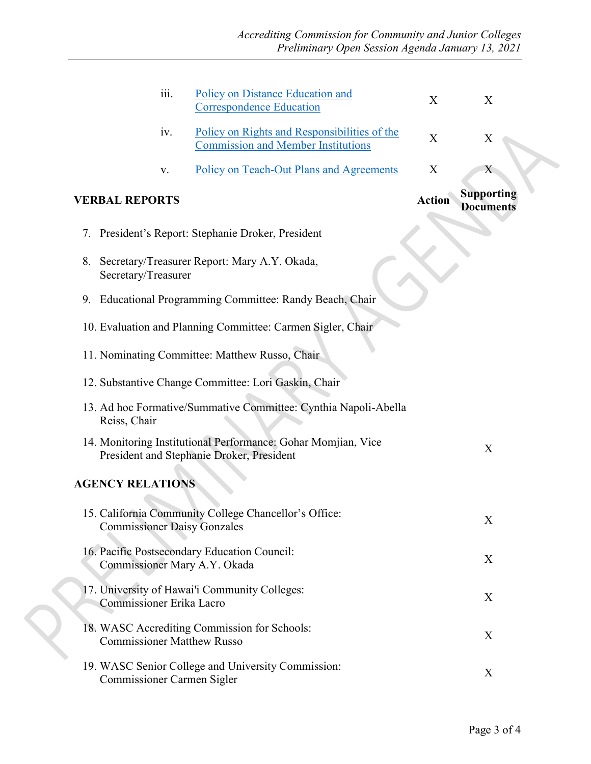| iii.                               | Policy on Distance Education and<br><b>Correspondence Education</b>                                        | X             | X                                     |
|------------------------------------|------------------------------------------------------------------------------------------------------------|---------------|---------------------------------------|
| iv.                                | Policy on Rights and Responsibilities of the<br><b>Commission and Member Institutions</b>                  | X             | X                                     |
| V.                                 | <b>Policy on Teach-Out Plans and Agreements</b>                                                            | X             | X                                     |
| <b>VERBAL REPORTS</b>              |                                                                                                            | <b>Action</b> | <b>Supporting</b><br><b>Documents</b> |
|                                    | 7. President's Report: Stephanie Droker, President                                                         |               |                                       |
| Secretary/Treasurer                | 8. Secretary/Treasurer Report: Mary A.Y. Okada,                                                            |               |                                       |
|                                    | 9. Educational Programming Committee: Randy Beach, Chair                                                   |               |                                       |
|                                    | 10. Evaluation and Planning Committee: Carmen Sigler, Chair                                                |               |                                       |
|                                    | 11. Nominating Committee: Matthew Russo, Chair                                                             |               |                                       |
|                                    | 12. Substantive Change Committee: Lori Gaskin, Chair                                                       |               |                                       |
| Reiss, Chair                       | 13. Ad hoc Formative/Summative Committee: Cynthia Napoli-Abella                                            |               |                                       |
|                                    | 14. Monitoring Institutional Performance: Gohar Momjian, Vice<br>President and Stephanie Droker, President |               | X                                     |
| <b>AGENCY RELATIONS</b>            |                                                                                                            |               |                                       |
| <b>Commissioner Daisy Gonzales</b> | 15. California Community College Chancellor's Office:                                                      |               | X                                     |
| Commissioner Mary A.Y. Okada       | 16. Pacific Postsecondary Education Council:                                                               |               | X                                     |
| <b>Commissioner Erika Lacro</b>    | 17. University of Hawai'i Community Colleges:                                                              |               | X                                     |
| <b>Commissioner Matthew Russo</b>  | 18. WASC Accrediting Commission for Schools:                                                               |               | X                                     |
| Commissioner Carmen Sigler         | 19. WASC Senior College and University Commission:                                                         |               | X                                     |